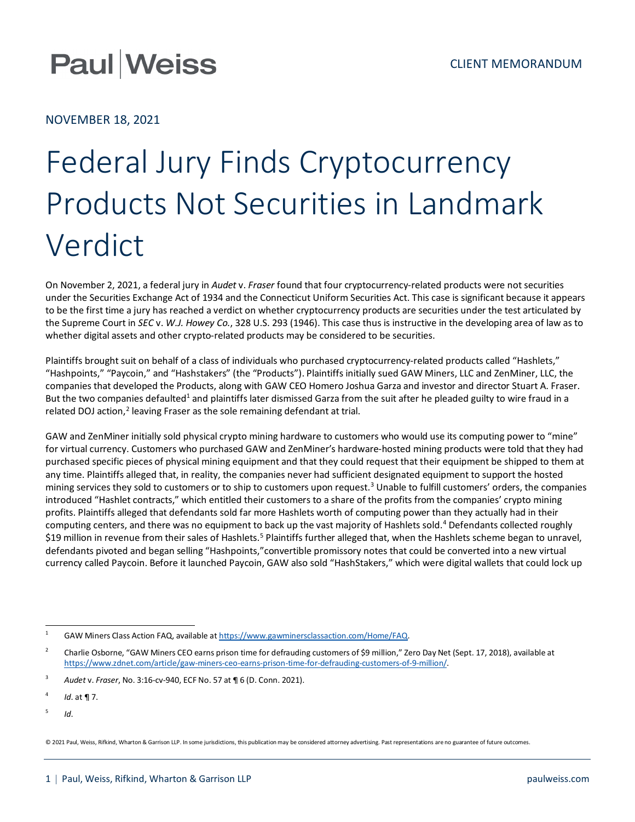## **Paul Weiss**

NOVEMBER 18, 2021

## Federal Jury Finds Cryptocurrency Products Not Securities in Landmark Verdict

On November 2, 2021, a federal jury in *Audet* v. *Fraser* found that four cryptocurrency-related products were not securities under the Securities Exchange Act of 1934 and the Connecticut Uniform Securities Act. This case is significant because it appears to be the first time a jury has reached a verdict on whether cryptocurrency products are securities under the test articulated by the Supreme Court in *SEC* v. *W.J. Howey Co.*, 328 U.S. 293 (1946). This case thus is instructive in the developing area of law as to whether digital assets and other crypto-related products may be considered to be securities.

Plaintiffs brought suit on behalf of a class of individuals who purchased cryptocurrency-related products called "Hashlets," "Hashpoints," "Paycoin," and "Hashstakers" (the "Products"). Plaintiffs initially sued GAW Miners, LLC and ZenMiner, LLC, the companies that developed the Products, along with GAW CEO Homero Joshua Garza and investor and director Stuart A. Fraser. But the two companies defaulted<sup>[1](#page-0-0)</sup> and plaintiffs later dismissed Garza from the suit after he pleaded guilty to wire fraud in a related DOJ action, $^2$  $^2$  leaving Fraser as the sole remaining defendant at trial.

GAW and ZenMiner initially sold physical crypto mining hardware to customers who would use its computing power to "mine" for virtual currency. Customers who purchased GAW and ZenMiner's hardware-hosted mining products were told that they had purchased specific pieces of physical mining equipment and that they could request that their equipment be shipped to them at any time. Plaintiffs alleged that, in reality, the companies never had sufficient designated equipment to support the hosted mining services they sold to customers or to ship to customers upon request.<sup>3</sup> Unable to fulfill customers' orders, the companies introduced "Hashlet contracts," which entitled their customers to a share of the profits from the companies' crypto mining profits. Plaintiffs alleged that defendants sold far more Hashlets worth of computing power than they actually had in their computing centers, and there was no equipment to back up the vast majority of Hashlets sold.[4](#page-0-3) Defendants collected roughly \$19 million in revenue from their sales of Hashlets.<sup>[5](#page-0-4)</sup> Plaintiffs further alleged that, when the Hashlets scheme began to unravel, defendants pivoted and began selling "Hashpoints,"convertible promissory notes that could be converted into a new virtual currency called Paycoin. Before it launched Paycoin, GAW also sold "HashStakers," which were digital wallets that could lock up

<span id="page-0-4"></span><sup>5</sup> *Id*.

<span id="page-0-0"></span><sup>1</sup> GAW Miners Class Action FAQ, available a[t https://www.gawminersclassaction.com/Home/FAQ.](https://www.gawminersclassaction.com/Home/FAQ)

<span id="page-0-1"></span><sup>&</sup>lt;sup>2</sup> Charlie Osborne, "GAW Miners CEO earns prison time for defrauding customers of \$9 million," Zero Day Net (Sept. 17, 2018), available at [https://www.zdnet.com/article/gaw-miners-ceo-earns-prison-time-for-defrauding-customers-of-9-million/.](https://www.zdnet.com/article/gaw-miners-ceo-earns-prison-time-for-defrauding-customers-of-9-million/)

<span id="page-0-2"></span><sup>3</sup> *Audet* v. *Fraser*, No. 3:16-cv-940, ECF No. 57 at ¶ 6 (D. Conn. 2021).

<span id="page-0-3"></span><sup>4</sup> *Id*. at ¶ 7.

<sup>© 2021</sup> Paul, Weiss, Rifkind, Wharton & Garrison LLP. In some jurisdictions, this publication may be considered attorney advertising. Past representations are no guarantee of future outcomes.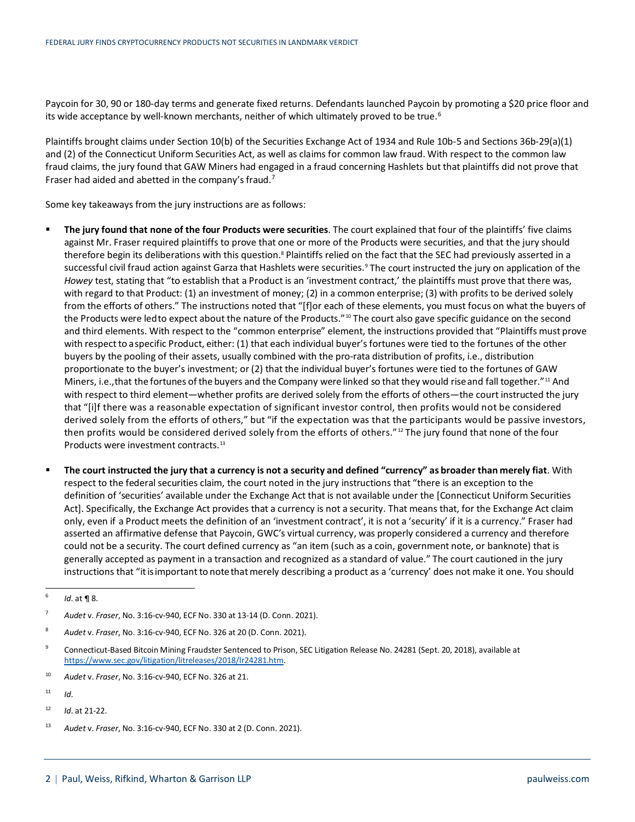Paycoin for 30, 90 or 180-day terms and generate fixed returns. Defendants launched Paycoin by promoting a \$20 price floor and its wide acceptance by well-known merchants, neither of which ultimately proved to be true.<sup>[6](#page-1-0)</sup>

Plaintiffs brought claims under Section 10(b) of the Securities Exchange Act of 1934 and Rule 10b-5 and Sections 36b-29(a)(1) and (2) of the Connecticut Uniform Securities Act, as well as claims for common law fraud. With respect to the common law fraud claims, the jury found that GAW Miners had engaged in a fraud concerning Hashlets but that plaintiffs did not prove that Fraser had aided and abetted in the company's fraud.[7](#page-1-1)

Some key takeaways from the jury instructions are as follows:

- **The jury found that none of the four Products were securities**. The court explained that four of the plaintiffs' five claims against Mr. Fraser required plaintiffs to prove that one or more of the Products were securities, and that the jury should therefore begin its deliberations with this question.<sup>8</sup> Plaintiffs relied on the fact that the SEC had previously asserted in a successful civil fraud action against Garza that Hashlets were securities.<sup>[9](#page-1-3)</sup> The court instructed the jury on application of the *Howey* test, stating that "to establish that a Product is an 'investment contract,' the plaintiffs must prove that there was, with regard to that Product: (1) an investment of money; (2) in a common enterprise; (3) with profits to be derived solely from the efforts of others." The instructions noted that "[f]or each of these elements, you must focus on what the buyers of the Products were ledto expect about the nature of the Products."<sup>[10](#page-1-4)</sup> The court also gave specific guidance on the second and third elements. With respect to the "common enterprise" element, the instructions provided that "Plaintiffs must prove with respect to a specific Product, either: (1) that each individual buyer's fortunes were tied to the fortunes of the other buyers by the pooling of their assets, usually combined with the pro-rata distribution of profits, i.e., distribution proportionate to the buyer's investment; or (2) that the individual buyer's fortunes were tied to the fortunes of GAW Miners, i.e., that the fortunes of the buyers and the Company were linked so that they would rise and fall together."<sup>[11](#page-1-5)</sup> And with respect to third element—whether profits are derived solely from the efforts of others—the court instructed the jury that "[i]f there was a reasonable expectation of significant investor control, then profits would not be considered derived solely from the efforts of others," but "if the expectation was that the participants would be passive investors, then profits would be considered derived solely from the efforts of others."<sup>[12](#page-1-6)</sup> The jury found that none of the four Products were investment contracts.<sup>[13](#page-1-7)</sup>
- **The court instructed the jury that a currency is not a security and defined "currency" as broader than merely fiat**. With respect to the federal securities claim, the court noted in the jury instructions that "there is an exception to the definition of 'securities' available under the Exchange Act that is not available under the [Connecticut Uniform Securities Act]. Specifically, the Exchange Act provides that a currency is not a security. That means that, for the Exchange Act claim only, even if a Product meets the definition of an 'investment contract', it is not a 'security' if it is a currency." Fraser had asserted an affirmative defense that Paycoin, GWC's virtual currency, was properly considered a currency and therefore could not be a security. The court defined currency as "an item (such as a coin, government note, or banknote) that is generally accepted as payment in a transaction and recognized as a standard of value." The court cautioned in the jury instructions that "it is important to note that merely describing a product as a 'currency' does not make it one. You should

- <span id="page-1-3"></span><sup>9</sup> Connecticut-Based Bitcoin Mining Fraudster Sentenced to Prison, SEC Litigation Release No. 24281 (Sept. 20, 2018), available at [https://www.sec.gov/litigation/litreleases/2018/lr24281.htm.](https://www.sec.gov/litigation/litreleases/2018/lr24281.htm)
- <span id="page-1-4"></span><sup>10</sup> *Audet* v. *Fraser*, No. 3:16-cv-940, ECF No. 326 at 21.
- <span id="page-1-5"></span> $11$  *Id*
- <span id="page-1-6"></span><sup>12</sup> *Id*. at 21-22.

<span id="page-1-0"></span> $^{6}$  *Id.* at **¶** 8.

<span id="page-1-1"></span><sup>7</sup> *Audet* v. *Fraser*, No. 3:16-cv-940, ECF No. 330 at 13-14 (D. Conn. 2021).

<span id="page-1-2"></span><sup>8</sup> *Audet* v. *Fraser*, No. 3:16-cv-940, ECF No. 326 at 20 (D. Conn. 2021).

<span id="page-1-7"></span><sup>13</sup> *Audet* v. *Fraser*, No. 3:16-cv-940, ECF No. 330 at 2 (D. Conn. 2021).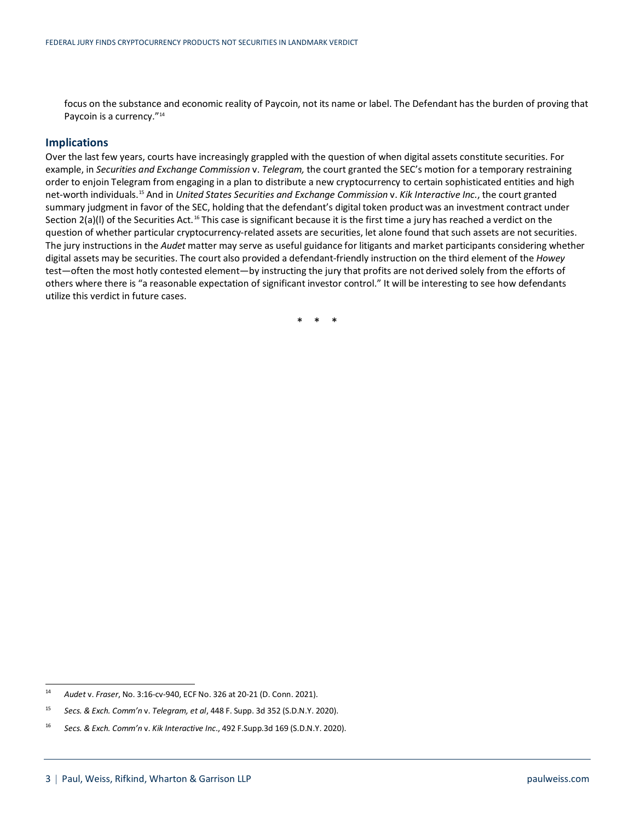focus on the substance and economic reality of Paycoin, not its name or label. The Defendant has the burden of proving that Paycoin is a currency."<sup>[14](#page-2-0)</sup>

## **Implications**

Over the last few years, courts have increasingly grappled with the question of when digital assets constitute securities. For example, in *Securities and Exchange Commission* v. *Telegram,* the court granted the SEC's motion for a temporary restraining order to enjoin Telegram from engaging in a plan to distribute a new cryptocurrency to certain sophisticated entities and high net-worth individuals.[15](#page-2-1) And in *United States Securities and Exchange Commission* v. *Kik Interactive Inc.*, the court granted summary judgment in favor of the SEC, holding that the defendant's digital token product was an investment contract under Section  $2(a)(I)$  of the Securities Act.<sup>[16](#page-2-2)</sup> This case is significant because it is the first time a jury has reached a verdict on the question of whether particular cryptocurrency-related assets are securities, let alone found that such assets are not securities. The jury instructions in the *Audet* matter may serve as useful guidance for litigants and market participants considering whether digital assets may be securities. The court also provided a defendant-friendly instruction on the third element of the *Howey*  test—often the most hotly contested element—by instructing the jury that profits are not derived solely from the efforts of others where there is "a reasonable expectation of significant investor control." It will be interesting to see how defendants utilize this verdict in future cases.

\* \* \*

<span id="page-2-0"></span><sup>14</sup> *Audet* v. *Fraser*, No. 3:16-cv-940, ECF No. 326 at 20-21 (D. Conn. 2021).

<span id="page-2-1"></span><sup>15</sup> *Secs. & Exch. Comm'n* v. *Telegram, et al*, 448 F. Supp. 3d 352 (S.D.N.Y. 2020).

<span id="page-2-2"></span><sup>16</sup> *Secs. & Exch. Comm'n* v. *Kik Interactive Inc*., 492 F.Supp.3d 169 (S.D.N.Y. 2020).